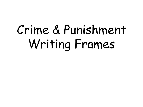# Crime & Punishment Writing Frames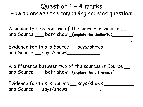## Question 1 – 4 marks How to answer the comparing sources question:

A similarity between two of the sources is Source  $\_\_$ and Source \_\_\_ both show \_(**explain the similarity**)\_\_\_\_\_\_\_

 $\bullet$ 

Evidence for this is Source \_\_ says/shows \_\_\_\_\_\_\_\_\_\_ and Source \_\_ says/shows \_\_\_\_\_\_\_\_\_\_\_.

A difference between two of the sources is Source and Source \_\_\_ both show \_(**explain the difference**)\_\_\_\_\_\_

 $\bullet$ 

Evidence for this is Source <u>says/shows</u> and Source \_\_ says/shows\_\_\_\_\_\_\_\_\_\_\_\_.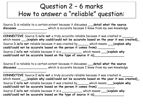# Question 2 – 6 marks How to answer a "reliable" question:

Source D is reliable to a certain extent because it discusses \_\_\_**detail what the source**  discusses \_\_\_\_\_\_\_\_\_\_\_\_\_\_\_\_\_\_\_\_\_which is accurate because I know from my own knowledge

\_\_\_\_\_\_\_\_\_\_\_\_\_\_\_\_\_\_\_\_\_\_\_.

 $\overline{\phantom{a}}$  , we can also the contract of the contract of  $\overline{\phantom{a}}$  .

**CONNECTIVE** Source D **is/is not** a truly accurate reliable because it was created in \_\_\_\_\_\_ which means \_\_\_(**explain why could/could not be accurate based on the year it was created)**\_. Source D **is/is not** reliable because it was created by\_\_\_\_\_\_ which means \_\_\_(**explain why could/could not be accurate based on the person it comes from)** \_\_\_\_\_\_\_\_\_. Source C **is/is not** reliable because it is a \_\_\_\_\_\_\_\_\_\_\_ which means \_\_\_(**explain why could/could not be accurate based on the type of source it is)**\_\_\_\_\_\_\_\_\_\_\_\_\_\_\_\_.

Source E is reliable to a certain extent because it discusses \_\_\_**detail what the source discusses** \_\_\_\_\_\_\_\_\_\_\_\_\_\_\_\_ which is accurate because I know from my own knowledge

**CONNECTIVE** Source E **is/is not** a truly accurate reliable because it was created in \_\_\_\_\_\_ which means \_\_\_(**explain why could/could not be accurate based on the year it was created)**\_. Source E **is/is not** reliable because it was created by\_\_\_\_\_\_ which means \_\_\_(**explain why could/could not be accurate based on the person it comes from)** \_\_\_\_\_\_\_\_\_. Source E **is/is not** reliable because it is a \_\_\_\_\_\_\_\_\_\_\_ which means \_\_\_(**explain why could/could not be accurate based on the type of source it is)**\_\_\_\_\_\_\_\_\_\_\_\_\_\_\_\_.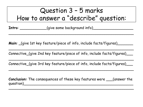# Question 3 – 5 marks How to answer a "describe" question:

 $\sim$  . The set of the set of the set of the set of the set of the set of the set of the set of the set of the set of the set of the set

\_\_\_\_\_\_\_\_\_\_\_\_\_\_\_\_\_\_\_\_\_\_\_\_\_\_\_\_\_\_\_\_\_\_\_\_\_\_\_\_\_\_\_\_\_\_\_\_\_\_\_\_\_\_\_\_

 $\sim$  . The set of the set of the set of the set of the set of the set of the set of the set of the set of the set of the set of the set

 $\sim$  . The set of the set of the set of the set of the set of the set of the set of the set of the set of the set of the set of the set

**Intro**: \_\_\_\_\_\_\_\_\_\_\_\_\_(give some background info)\_\_\_\_\_\_\_\_\_\_\_\_\_\_\_\_\_\_\_\_\_\_\_\_\_\_\_\_\_\_\_\_

**Main:** (give 1st key feature/piece of info, include facts/figures)

Connective\_(give 2nd key feature/piece of info, include facts/figures)\_\_\_

Connective\_(give 3rd key feature/piece of info, include facts/figures)\_\_\_

**Conclusion:** The consequences of these key features were \_\_\_(answer the question)\_\_\_\_\_\_\_\_\_\_\_\_\_\_\_\_\_\_\_\_\_\_\_\_\_\_\_\_\_\_\_\_\_\_\_\_\_\_\_\_\_\_\_\_\_\_\_\_\_

\_\_\_\_\_\_\_\_\_\_\_\_\_\_\_\_\_\_\_\_\_\_\_\_\_\_\_\_\_\_\_\_\_\_\_\_\_\_\_\_\_\_\_\_\_\_\_\_\_\_\_\_\_\_\_\_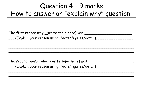# Question 4 – 9 marks How to answer an "explain why" question:

| The first reason why _(write topic here) was       |
|----------------------------------------------------|
| __(Explain your reason using facts/figures/detail) |

\_\_\_\_\_\_\_\_\_\_\_\_\_\_\_\_\_\_\_\_\_\_\_\_\_\_\_\_\_\_\_\_\_\_\_\_\_\_\_\_\_\_\_\_\_\_\_\_\_\_\_\_\_\_\_\_

 $\sim$  . The set of the set of the set of the set of the set of the set of the set of the set of the set of the set of the set of the set

\_\_\_\_\_\_\_\_\_\_\_\_\_\_\_\_\_\_\_\_\_\_\_\_\_\_\_\_\_\_\_\_\_\_\_\_\_\_\_\_\_\_\_\_\_\_\_\_\_\_\_\_\_\_\_\_

The second reason why \_(write topic here) was \_\_\_\_\_\_\_\_\_\_\_\_\_\_\_\_\_\_\_\_\_\_\_\_\_\_\_\_\_\_\_\_\_\_ \_\_\_(Explain your reason using facts/figures/detail)\_\_\_\_\_\_\_\_\_\_\_\_\_\_\_\_\_ \_\_\_\_\_\_\_\_\_\_\_\_\_\_\_\_\_\_\_\_\_\_\_\_\_\_\_\_\_\_\_\_\_\_\_\_\_\_\_\_\_\_\_\_\_\_\_\_\_\_\_\_\_\_\_\_

 $\sim$  . The set of the set of the set of the set of the set of the set of the set of the set of the set of the set of the set of the set

 $\sim$  . The set of the set of the set of the set of the set of the set of the set of the set of the set of the set of the set of the set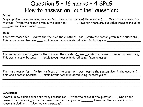### Question 5 – 16 marks + 4 SPaG How to answer an "outline" question:

#### **Intro**:

In my opinion there are many reasons for\_\_(write the focus of the question)\_\_\_. One of the reasons for this was \_(write the reason given in the question)\_\_\_\_\_\_\_. However, there are also other reasons including  $\lfloor$  (give two more reasons)\_\_\_\_\_

#### **Main**:

The first reason for \_\_(write the focus of the question)\_ was \_(write the reason given in the question)\_. This was a reason because \_\_\_(explain your reason in detail using facts/figures)\_\_\_\_\_\_\_\_\_\_\_\_\_\_\_\_\_\_\_

\_\_\_\_\_\_\_\_\_\_\_\_\_\_\_\_\_\_\_\_\_\_\_\_\_\_\_\_\_\_\_\_\_\_\_\_\_\_\_\_\_\_\_\_\_\_\_\_\_\_\_\_\_\_\_\_\_\_\_\_\_\_\_\_\_\_\_\_\_\_\_\_\_\_\_\_\_\_\_ \_\_\_\_\_\_\_\_\_\_\_\_\_\_\_\_\_\_\_\_\_\_\_\_\_\_\_\_\_\_\_\_\_\_\_\_\_\_\_\_\_\_\_\_\_\_\_\_\_\_\_\_\_\_\_\_\_\_\_\_\_\_\_\_\_\_\_\_\_\_\_\_\_\_\_\_\_\_\_ \_\_\_\_\_\_\_\_\_\_\_\_\_\_\_\_\_\_\_\_\_\_\_\_\_\_\_\_\_\_\_\_\_\_\_\_\_\_\_\_\_\_\_\_\_\_\_\_\_\_\_\_\_\_\_\_\_\_\_\_\_\_\_\_\_\_\_\_\_\_\_\_\_\_\_\_\_\_\_

The second reason for \_(write the focus of the question)\_ was \_(write the reason given in the question)\_. This was a reason because \_\_\_(explain your reason in detail using facts/figures)\_\_\_\_\_\_\_\_\_\_\_\_\_\_\_\_\_\_\_\_

\_\_\_\_\_\_\_\_\_\_\_\_\_\_\_\_\_\_\_\_\_\_\_\_\_\_\_\_\_\_\_\_\_\_\_\_\_\_\_\_\_\_\_\_\_\_\_\_\_\_\_\_\_\_\_\_\_\_\_\_\_\_\_\_\_\_\_\_\_\_\_\_\_\_\_\_\_\_\_ \_\_\_\_\_\_\_\_\_\_\_\_\_\_\_\_\_\_\_\_\_\_\_\_\_\_\_\_\_\_\_\_\_\_\_\_\_\_\_\_\_\_\_\_\_\_\_\_\_\_\_\_\_\_\_\_\_\_\_\_\_\_\_\_\_\_\_\_\_\_\_\_\_\_\_\_\_\_\_ \_\_\_\_\_\_\_\_\_\_\_\_\_\_\_\_\_\_\_\_\_\_\_\_\_\_\_\_\_\_\_\_\_\_\_\_\_\_\_\_\_\_\_\_\_\_\_\_\_\_\_\_\_\_\_\_\_\_\_\_\_\_\_\_\_\_\_\_\_\_\_\_\_\_\_\_\_\_\_

The third reason for \_\_(write the focus of the question)\_ was \_(write the reason given in the question)\_. This was a reason because \_\_\_(explain your reason in detail using facts/figures)\_\_\_\_\_\_\_\_\_\_\_\_\_\_\_\_\_\_\_

\_\_\_\_\_\_\_\_\_\_\_\_\_\_\_\_\_\_\_\_\_\_\_\_\_\_\_\_\_\_\_\_\_\_\_\_\_\_\_\_\_\_\_\_\_\_\_\_\_\_\_\_\_\_\_\_\_\_\_\_\_\_\_\_\_\_\_\_\_\_\_\_\_\_\_\_\_\_\_ \_\_\_\_\_\_\_\_\_\_\_\_\_\_\_\_\_\_\_\_\_\_\_\_\_\_\_\_\_\_\_\_\_\_\_\_\_\_\_\_\_\_\_\_\_\_\_\_\_\_\_\_\_\_\_\_\_\_\_\_\_\_\_\_\_\_\_\_\_\_\_\_\_\_\_\_\_\_\_ \_\_\_\_\_\_\_\_\_\_\_\_\_\_\_\_\_\_\_\_\_\_\_\_\_\_\_\_\_\_\_\_\_\_\_\_\_\_\_\_\_\_\_\_\_\_\_\_\_\_\_\_\_\_\_\_\_\_\_\_\_\_\_\_\_\_\_\_\_\_\_\_\_\_\_\_\_\_\_

#### **Conclusion:**

Overall, in my opinion there are many reasons for \_\_(write the focus of the question)\_\_\_\_. One of the reasons for this was \_(write the reason given in the question)\_\_\_\_\_\_. However, there are also other reasons including \_\_\_(give two more reasons)\_\_\_\_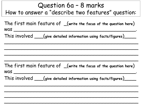## Question 6a – 8 marks How to answer a "describe two features" question:

The first main feature of \_(**write the focus of the question here**) was \_\_\_\_\_\_\_\_\_\_\_\_\_\_\_\_\_\_\_\_\_\_\_\_\_\_\_\_\_\_\_\_\_\_\_\_\_\_\_\_\_.

\_\_\_\_\_\_\_\_\_\_\_\_\_\_\_\_\_\_\_\_\_\_\_\_\_\_\_\_\_\_\_\_\_\_\_\_\_\_\_\_\_\_\_\_\_

 $\sim$  . The indicated parameter is defined as a set of the indicated parameter  $\sim$  . The indicated parameter  $\sim$ 

 $\mathcal{L}_\mathcal{L}$ 

\_\_\_\_\_\_\_\_\_\_\_\_\_\_\_\_\_\_\_\_\_\_\_\_\_\_\_\_\_\_\_\_\_\_\_\_\_\_\_\_\_\_\_\_\_

This involved \_\_\_(**give detailed information using facts/figures**)\_\_\_\_

The first main feature of \_(**write the focus of the question here**)  $was$   $\overline{\phantom{a}}$ 

\_\_\_\_\_\_\_\_\_\_\_\_\_\_\_\_\_\_\_\_\_\_\_\_\_\_\_\_\_\_\_\_\_\_\_\_\_\_\_\_\_\_\_\_\_

\_\_\_\_\_\_\_\_\_\_\_\_\_\_\_\_\_\_\_\_\_\_\_\_\_\_\_\_\_\_\_\_\_\_\_\_\_\_\_\_\_\_\_\_\_

\_\_\_\_\_\_\_\_\_\_\_\_\_\_\_\_\_\_\_\_\_\_\_\_\_\_\_\_\_\_\_\_\_\_\_\_\_\_\_\_\_\_\_\_\_

\_\_\_\_\_\_\_\_\_\_\_\_\_\_\_\_\_\_\_\_\_\_\_\_\_\_\_\_\_\_\_\_\_\_\_\_\_\_\_\_\_\_\_\_\_

This involved \_\_\_(**give detailed information using facts/figures**)\_\_\_\_